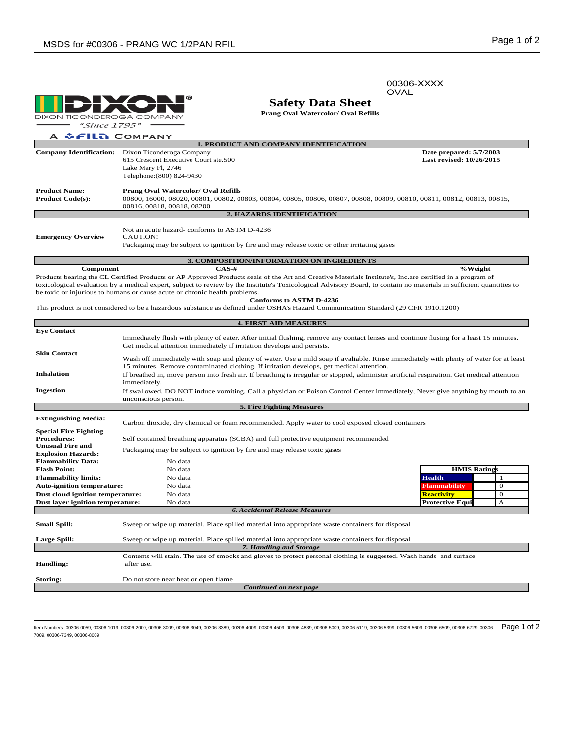00306-XXXX

OVAL

൫ **DIXON TICONDEROGA COMPANY** 

**Safety Data Sheet**

**Prang Oval Watercolor/ Oval Refills**

"Since 1795" A ↓FILA COMPANY

| <b>1. PRODUCT AND COMPANY IDENTIFICATION</b>     |                                                                                                                                                         |                          |  |  |
|--------------------------------------------------|---------------------------------------------------------------------------------------------------------------------------------------------------------|--------------------------|--|--|
| <b>Company Identification:</b>                   | Dixon Ticonderoga Company                                                                                                                               | Date prepared: 5/7/2003  |  |  |
|                                                  | 615 Crescent Executive Court ste.500                                                                                                                    | Last revised: 10/26/2015 |  |  |
|                                                  | Lake Mary Fl, 2746                                                                                                                                      |                          |  |  |
|                                                  | Telephone: (800) 824-9430                                                                                                                               |                          |  |  |
| <b>Product Name:</b>                             | <b>Prang Oval Watercolor/ Oval Refills</b>                                                                                                              |                          |  |  |
| <b>Product Code(s):</b>                          | 00800, 16000, 08020, 00801, 00802, 00803, 00804, 00805, 00806, 00807, 00808, 00809, 00810, 00811, 00812, 00813, 00815,                                  |                          |  |  |
|                                                  | 00816, 00818, 00818, 08200                                                                                                                              |                          |  |  |
| <b>2. HAZARDS IDENTIFICATION</b>                 |                                                                                                                                                         |                          |  |  |
| <b>Emergency Overview</b>                        | Not an acute hazard-conforms to ASTM D-4236<br>CAUTION!<br>Packaging may be subject to ignition by fire and may release toxic or other irritating gases |                          |  |  |
| <b>3. COMPOSITION/INFORMATION ON INGREDIENTS</b> |                                                                                                                                                         |                          |  |  |
| Component                                        | $CAS-#$                                                                                                                                                 | %Weight                  |  |  |

Products bearing the CL Certified Products or AP Approved Products seals of the Art and Creative Materials Institute's, Inc.are certified in a program of toxicological evaluation by a medical expert, subject to review by the Institute's Toxicological Advisory Board, to contain no materials in sufficient quantities to be toxic or injurious to humans or cause acute or chronic health problems. **Conforms to ASTM D-4236**

This product is not considered to be a hazardous substance as defined under OSHA's Hazard Communication Standard (29 CFR 1910.1200)

| <b>4. FIRST AID MEASURES</b>                  |                                                                                                                                            |                        |              |  |  |
|-----------------------------------------------|--------------------------------------------------------------------------------------------------------------------------------------------|------------------------|--------------|--|--|
| <b>Eve Contact</b>                            |                                                                                                                                            |                        |              |  |  |
|                                               | Immediately flush with plenty of eater. After initial flushing, remove any contact lenses and continue flusing for a least 15 minutes.     |                        |              |  |  |
|                                               | Get medical attention immediately if irritation develops and persists.                                                                     |                        |              |  |  |
| <b>Skin Contact</b>                           | Wash off immediately with soap and plenty of water. Use a mild soap if avaliable. Rinse immediately with plenty of water for at least      |                        |              |  |  |
|                                               | 15 minutes. Remove contaminated clothing. If irritation develops, get medical attention.                                                   |                        |              |  |  |
| <b>Inhalation</b>                             | If breathed in, move person into fresh air. If breathing is irregular or stopped, administer artificial respiration. Get medical attention |                        |              |  |  |
|                                               | immediately.                                                                                                                               |                        |              |  |  |
| Ingestion                                     | If swallowed, DO NOT induce vomiting. Call a physician or Poison Control Center immediately, Never give anything by mouth to an            |                        |              |  |  |
|                                               | unconscious person.                                                                                                                        |                        |              |  |  |
|                                               | 5. Fire Fighting Measures                                                                                                                  |                        |              |  |  |
| <b>Extinguishing Media:</b>                   |                                                                                                                                            |                        |              |  |  |
|                                               | Carbon dioxide, dry chemical or foam recommended. Apply water to cool exposed closed containers                                            |                        |              |  |  |
| <b>Special Fire Fighting</b>                  |                                                                                                                                            |                        |              |  |  |
| <b>Procedures:</b><br><b>Unusual Fire and</b> | Self contained breathing apparatus (SCBA) and full protective equipment recommended                                                        |                        |              |  |  |
| <b>Explosion Hazards:</b>                     | Packaging may be subject to ignition by fire and may release toxic gases                                                                   |                        |              |  |  |
| <b>Flammability Data:</b>                     | No data                                                                                                                                    |                        |              |  |  |
| <b>Flash Point:</b>                           | No data                                                                                                                                    | <b>HMIS Ratings</b>    |              |  |  |
| <b>Flammability limits:</b>                   | No data                                                                                                                                    | <b>Health</b>          | -1           |  |  |
| <b>Auto-ignition temperature:</b>             | No data                                                                                                                                    | <b>Flammability</b>    | $\theta$     |  |  |
| Dust cloud ignition temperature:              | No data                                                                                                                                    | <b>Reactivity</b>      | $\mathbf{0}$ |  |  |
| Dust layer ignition temperature:              | No data                                                                                                                                    | <b>Protective Equi</b> | $\mathbf{A}$ |  |  |
| <b>6. Accidental Release Measures</b>         |                                                                                                                                            |                        |              |  |  |
| <b>Small Spill:</b>                           | Sweep or wipe up material. Place spilled material into appropriate waste containers for disposal                                           |                        |              |  |  |
| <b>Large Spill:</b>                           | Sweep or wipe up material. Place spilled material into appropriate waste containers for disposal                                           |                        |              |  |  |
|                                               | 7. Handling and Storage                                                                                                                    |                        |              |  |  |
|                                               | Contents will stain. The use of smocks and gloves to protect personal clothing is suggested. Wash hands and surface                        |                        |              |  |  |
| Handling:                                     | after use.                                                                                                                                 |                        |              |  |  |
|                                               |                                                                                                                                            |                        |              |  |  |
| Storing:                                      | Do not store near heat or open flame                                                                                                       |                        |              |  |  |
| Continued on next page                        |                                                                                                                                            |                        |              |  |  |

ltem Numbers: 00306-0059, 00306-1019, 00306-2009, 00306-3009, 00306-3049, 00306-4339, 00306-4509, 00306-4509, 00306-5009, 00306-5309, 00306-5500, 00306-5609, 00306-6509, 00306-6509, 00306-6729, 00306-6729, 00306-5119, 0030 7009, 00306-7349, 00306-8009